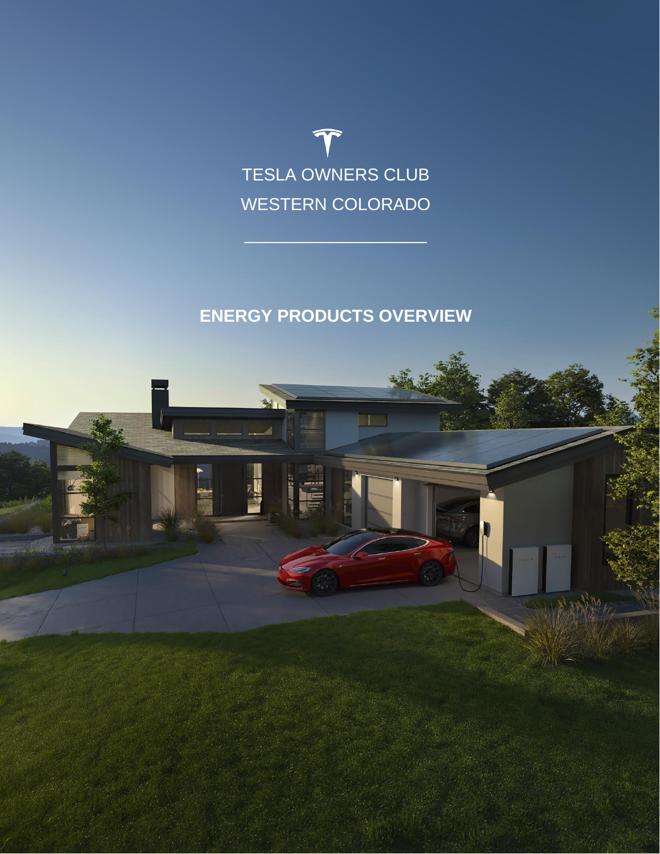

 $\Box$  .  $\Box$  .  $\Box$  .  $\Box$  .  $\Box$  .  $\Box$  .  $\Box$  .  $\Box$ 

# **ENERGY PRODUCTS OVERVIEW**

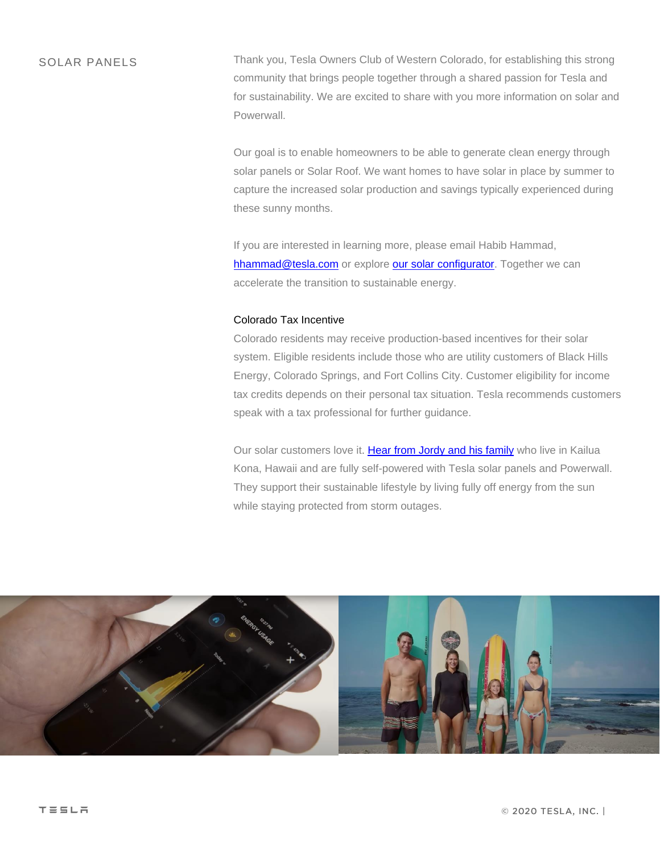SOLAR PANELS Thank you, Tesla Owners Club of Western Colorado, for establishing this strong community that brings people together through a shared passion for Tesla and for sustainability. We are excited to share with you more information on solar and Powerwall.

> Our goal is to enable homeowners to be able to generate clean energy through solar panels or Solar Roof. We want homes to have solar in place by summer to capture the increased solar production and savings typically experienced during these sunny months.

If you are interested in learning more, please email Habib Hammad, [hhammad@tesla.com](mailto:hhammad@tesla.com) or explore [our solar configurator.](https://www.tesla.com/energy/design?attribution_eid=693801) Together we can accelerate the transition to sustainable energy.

#### Colorado Tax Incentive

Colorado residents may receive production-based incentives for their solar system. Eligible residents include those who are utility customers of Black Hills Energy, Colorado Springs, and Fort Collins City. Customer eligibility for income tax credits depends on their personal tax situation. Tesla recommends customers speak with a tax professional for further guidance.

Our solar customers love it. [Hear from Jordy and his family](https://www.youtube.com/watch?v=BRD0vT-yaMw) who live in Kailua Kona, Hawaii and are fully self-powered with Tesla solar panels and Powerwall. They support their sustainable lifestyle by living fully off energy from the sun while staying protected from storm outages.

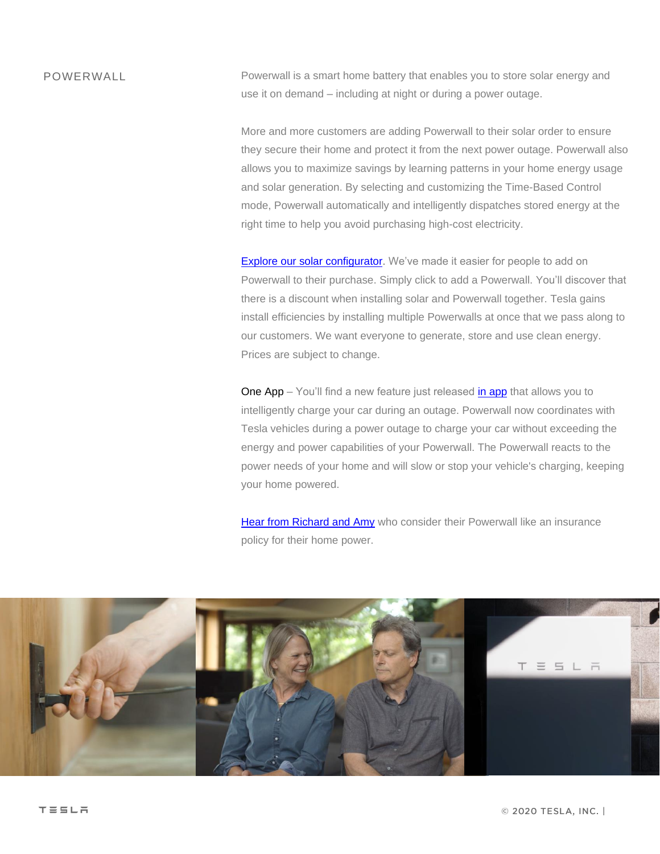### POWERWALL

Powerwall is a smart home battery that enables you to store solar energy and use it on demand – including at night or during a power outage.

More and more customers are adding Powerwall to their solar order to ensure they secure their home and protect it from the next power outage. Powerwall also allows you to maximize savings by learning patterns in your home energy usage and solar generation. By selecting and customizing the Time-Based Control mode, Powerwall automatically and intelligently dispatches stored energy at the right time to help you avoid purchasing high-cost electricity.

[Explore our solar configurator.](https://www.tesla.com/energy/design?attribution_eid=693801) We've made it easier for people to add on Powerwall to their purchase. Simply click to add a Powerwall. You'll discover that there is a discount when installing solar and Powerwall together. Tesla gains install efficiencies by installing multiple Powerwalls at once that we pass along to our customers. We want everyone to generate, store and use clean energy. Prices are subject to change.

One App – You'll find a new feature just released [in app](https://www.tesla.com/support/energy/powerwall/mobile-app/mobile-app-overview) that allows you to intelligently charge your car during an outage. Powerwall now coordinates with Tesla vehicles during a power outage to charge your car without exceeding the energy and power capabilities of your Powerwall. The Powerwall reacts to the power needs of your home and will slow or stop your vehicle's charging, keeping your home powered.

[Hear from Richard and Amy](https://www.tesla.com/customer-stories/powerwalls-in-sonoma-county) who consider their Powerwall like an insurance policy for their home power.

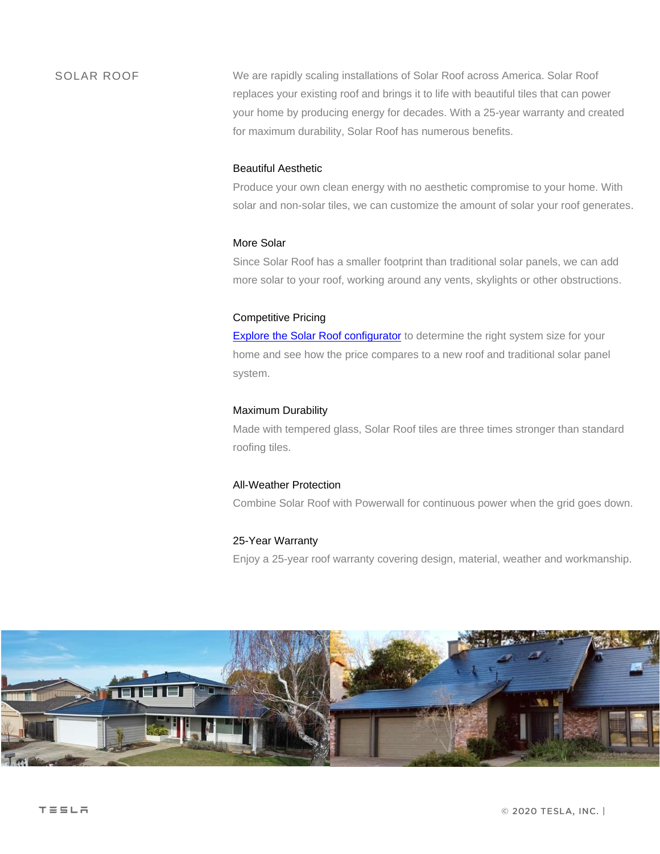SOLAR ROOF We are rapidly scaling installations of Solar Roof across America. Solar Roof replaces your existing roof and brings it to life with beautiful tiles that can power your home by producing energy for decades. With a 25-year warranty and created for maximum durability, Solar Roof has numerous benefits.

#### Beautiful Aesthetic

Produce your own clean energy with no aesthetic compromise to your home. With solar and non-solar tiles, we can customize the amount of solar your roof generates.

#### More Solar

Since Solar Roof has a smaller footprint than traditional solar panels, we can add more solar to your roof, working around any vents, skylights or other obstructions.

#### Competitive Pricing

**[Explore the Solar Roof configurator](https://www.tesla.com/solarroof/design?attribution_eid=693801)** to determine the right system size for your home and see how the price compares to a new roof and traditional solar panel system.

#### Maximum Durability

Made with tempered glass, Solar Roof tiles are three times stronger than standard roofing tiles.

#### All-Weather Protection

Combine Solar Roof with Powerwall for continuous power when the grid goes down.

#### 25-Year Warranty

Enjoy a 25-year roof warranty covering design, material, weather and workmanship.